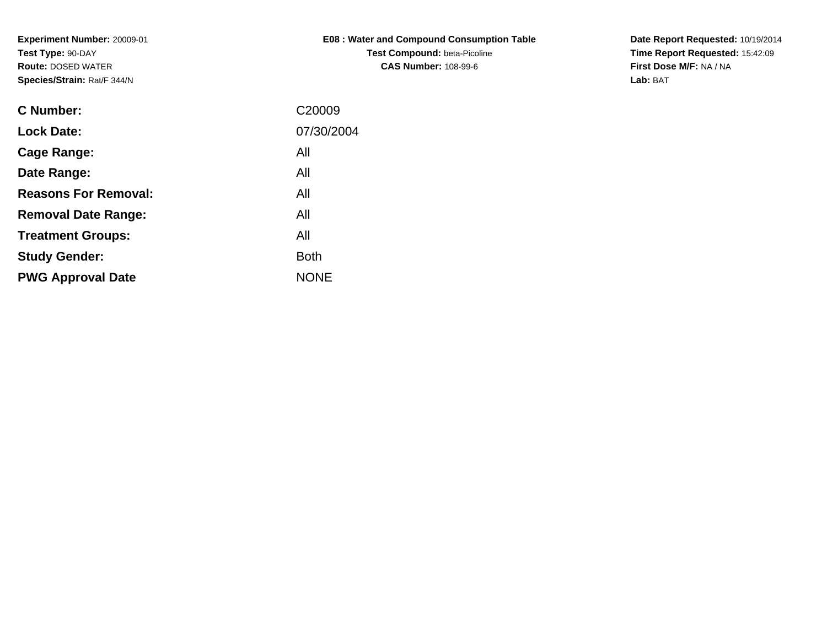| <b>E08: Water and Compound Consumption Table</b> |
|--------------------------------------------------|
| <b>Test Compound:</b> beta-Picoline              |
| <b>CAS Number: 108-99-6</b>                      |

**Date Report Requested:** 10/19/2014 **Time Report Requested:** 15:42:09**First Dose M/F:** NA / NA**Lab:** BAT

| <b>C</b> Number:            | C <sub>20009</sub> |
|-----------------------------|--------------------|
| <b>Lock Date:</b>           | 07/30/2004         |
| Cage Range:                 | All                |
| Date Range:                 | All                |
| <b>Reasons For Removal:</b> | All                |
| <b>Removal Date Range:</b>  | All                |
| <b>Treatment Groups:</b>    | All                |
| <b>Study Gender:</b>        | <b>Both</b>        |
| <b>PWG Approval Date</b>    | <b>NONE</b>        |
|                             |                    |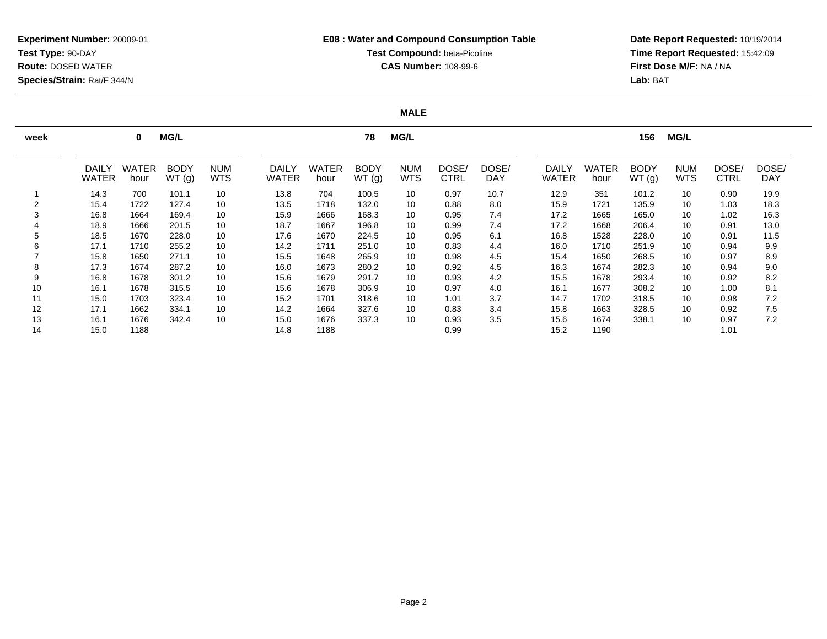**Date Report Requested:** 10/19/2014 **Time Report Requested:** 15:42:09**First Dose M/F:** NA / NA**Lab:** BAT

### **MALE**

| week |                              | 0                    | <b>MG/L</b>          |                          |                              |               | 78                   | <b>MG/L</b>              |                      |                     | <b>MG/L</b><br>156           |                      |                      |                          |               |                     |
|------|------------------------------|----------------------|----------------------|--------------------------|------------------------------|---------------|----------------------|--------------------------|----------------------|---------------------|------------------------------|----------------------|----------------------|--------------------------|---------------|---------------------|
|      | <b>DAILY</b><br><b>WATER</b> | <b>WATER</b><br>hour | <b>BODY</b><br>WT(g) | <b>NUM</b><br><b>WTS</b> | <b>DAILY</b><br><b>WATER</b> | WATER<br>hour | <b>BODY</b><br>WT(g) | <b>NUM</b><br><b>WTS</b> | DOSE/<br><b>CTRL</b> | DOSE/<br><b>DAY</b> | <b>DAILY</b><br><b>WATER</b> | <b>WATER</b><br>hour | <b>BODY</b><br>WT(g) | <b>NUM</b><br><b>WTS</b> | DOSE/<br>CTRL | DOSE/<br><b>DAY</b> |
|      | 14.3                         | 700                  | 101.1                | 10                       | 13.8                         | 704           | 100.5                | 10                       | 0.97                 | 10.7                | 12.9                         | 351                  | 101.2                | 10                       | 0.90          | 19.9                |
| 2    | 15.4                         | 1722                 | 127.4                | 10                       | 13.5                         | 1718          | 132.0                | 10                       | 0.88                 | 8.0                 | 15.9                         | 1721                 | 135.9                | 10                       | 1.03          | 18.3                |
| 3    | 16.8                         | 1664                 | 169.4                | 10                       | 15.9                         | 1666          | 168.3                | 10                       | 0.95                 | 7.4                 | 17.2                         | 1665                 | 165.0                | 10                       | 1.02          | 16.3                |
|      | 18.9                         | 1666                 | 201.5                | 10                       | 18.7                         | 1667          | 196.8                | 10                       | 0.99                 | 7.4                 | 17.2                         | 1668                 | 206.4                | 10                       | 0.91          | 13.0                |
| 5    | 18.5                         | 1670                 | 228.0                | 10                       | 17.6                         | 1670          | 224.5                | 10                       | 0.95                 | 6.1                 | 16.8                         | 1528                 | 228.0                | 10                       | 0.91          | 11.5                |
| 6    | 17.1                         | 1710                 | 255.2                | 10                       | 14.2                         | 1711          | 251.0                | 10                       | 0.83                 | 4.4                 | 16.0                         | 1710                 | 251.9                | 10                       | 0.94          | 9.9                 |
|      | 15.8                         | 1650                 | 271.1                | 10                       | 15.5                         | 1648          | 265.9                | 10                       | 0.98                 | 4.5                 | 15.4                         | 1650                 | 268.5                | 10                       | 0.97          | 8.9                 |
| 8    | 17.3                         | 1674                 | 287.2                | 10                       | 16.0                         | 1673          | 280.2                | 10                       | 0.92                 | 4.5                 | 16.3                         | 1674                 | 282.3                | 10                       | 0.94          | 9.0                 |
| 9    | 16.8                         | 1678                 | 301.2                | 10                       | 15.6                         | 1679          | 291.7                | 10                       | 0.93                 | 4.2                 | 15.5                         | 1678                 | 293.4                | 10                       | 0.92          | 8.2                 |
| 10   | 16.1                         | 1678                 | 315.5                | 10                       | 15.6                         | 1678          | 306.9                | 10                       | 0.97                 | 4.0                 | 16.1                         | 1677                 | 308.2                | 10                       | 1.00          | 8.1                 |
| 11   | 15.0                         | 1703                 | 323.4                | 10                       | 15.2                         | 1701          | 318.6                | 10                       | 1.01                 | 3.7                 | 14.7                         | 1702                 | 318.5                | 10                       | 0.98          | 7.2                 |
| 12   | 17.1                         | 1662                 | 334.1                | 10                       | 14.2                         | 1664          | 327.6                | 10                       | 0.83                 | 3.4                 | 15.8                         | 1663                 | 328.5                | 10                       | 0.92          | 7.5                 |
| 13   | 16.1                         | 1676                 | 342.4                | 10                       | 15.0                         | 1676          | 337.3                | 10                       | 0.93                 | 3.5                 | 15.6                         | 1674                 | 338.1                | 10                       | 0.97          | 7.2                 |
| 14   | 15.0                         | 1188                 |                      |                          | 14.8                         | 1188          |                      |                          | 0.99                 |                     | 15.2                         | 1190                 |                      |                          | 1.01          |                     |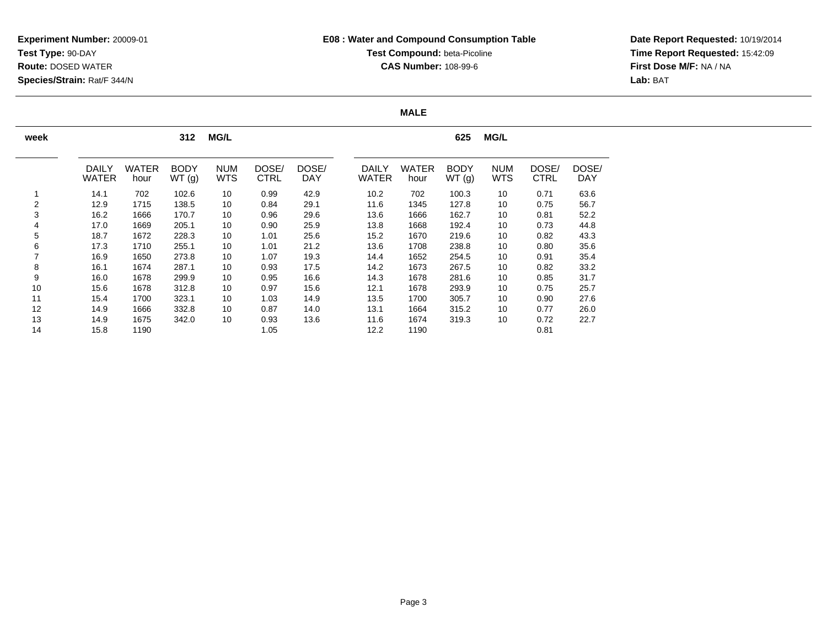# **E08 : Water and Compound Consumption TableTest Compound: beta-Picoline CAS Number:** 108-99-6

**Date Report Requested:** 10/19/2014 **Time Report Requested:** 15:42:09**First Dose M/F:** NA / NA**Lab:** BAT

### **MALE**

| week |                              |                      | 312                  | <b>MG/L</b>              |               |                     |                              |                      | 625                  | <b>MG/L</b>              |                      |              |
|------|------------------------------|----------------------|----------------------|--------------------------|---------------|---------------------|------------------------------|----------------------|----------------------|--------------------------|----------------------|--------------|
|      | <b>DAILY</b><br><b>WATER</b> | <b>WATER</b><br>hour | <b>BODY</b><br>WT(g) | <b>NUM</b><br><b>WTS</b> | DOSE/<br>CTRL | DOSE/<br><b>DAY</b> | <b>DAILY</b><br><b>WATER</b> | <b>WATER</b><br>hour | <b>BODY</b><br>WT(g) | <b>NUM</b><br><b>WTS</b> | DOSE/<br><b>CTRL</b> | DOSE/<br>DAY |
|      |                              |                      |                      |                          |               |                     |                              |                      |                      |                          |                      |              |
|      | 14.1                         | 702                  | 102.6                | 10                       | 0.99          | 42.9                | 10.2                         | 702                  | 100.3                | 10                       | 0.71                 | 63.6         |
| 2    | 12.9                         | 1715                 | 138.5                | 10                       | 0.84          | 29.1                | 11.6                         | 1345                 | 127.8                | 10                       | 0.75                 | 56.7         |
| 3    | 16.2                         | 1666                 | 170.7                | 10                       | 0.96          | 29.6                | 13.6                         | 1666                 | 162.7                | 10                       | 0.81                 | 52.2         |
| 4    | 17.0                         | 1669                 | 205.1                | 10                       | 0.90          | 25.9                | 13.8                         | 1668                 | 192.4                | 10                       | 0.73                 | 44.8         |
| 5    | 18.7                         | 1672                 | 228.3                | 10                       | 1.01          | 25.6                | 15.2                         | 1670                 | 219.6                | 10                       | 0.82                 | 43.3         |
| 6    | 17.3                         | 1710                 | 255.1                | 10                       | 1.01          | 21.2                | 13.6                         | 1708                 | 238.8                | 10                       | 0.80                 | 35.6         |
|      | 16.9                         | 1650                 | 273.8                | 10                       | 1.07          | 19.3                | 14.4                         | 1652                 | 254.5                | 10                       | 0.91                 | 35.4         |
| 8    | 16.1                         | 1674                 | 287.1                | 10                       | 0.93          | 17.5                | 14.2                         | 1673                 | 267.5                | 10                       | 0.82                 | 33.2         |
| 9    | 16.0                         | 1678                 | 299.9                | 10                       | 0.95          | 16.6                | 14.3                         | 1678                 | 281.6                | 10                       | 0.85                 | 31.7         |
| 10   | 15.6                         | 1678                 | 312.8                | 10                       | 0.97          | 15.6                | 12.1                         | 1678                 | 293.9                | 10                       | 0.75                 | 25.7         |
| 11   | 15.4                         | 1700                 | 323.1                | 10                       | 1.03          | 14.9                | 13.5                         | 1700                 | 305.7                | 10                       | 0.90                 | 27.6         |
| 12   | 14.9                         | 1666                 | 332.8                | 10                       | 0.87          | 14.0                | 13.1                         | 1664                 | 315.2                | 10                       | 0.77                 | 26.0         |
| 13   | 14.9                         | 1675                 | 342.0                | 10                       | 0.93          | 13.6                | 11.6                         | 1674                 | 319.3                | 10                       | 0.72                 | 22.7         |
| 14   | 15.8                         | 1190                 |                      |                          | 1.05          |                     | 12.2                         | 1190                 |                      |                          | 0.81                 |              |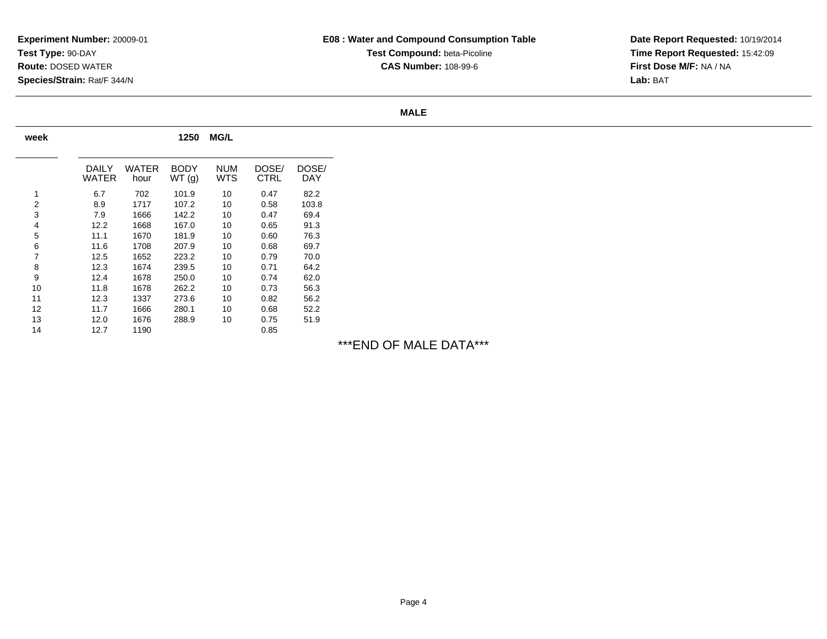**Date Report Requested:** 10/19/2014 **Time Report Requested:** 15:42:09**First Dose M/F:** NA / NA**Lab:** BAT

#### **MALE**

| week |                |               | 1250                 | <b>MG/L</b>       |               |              |
|------|----------------|---------------|----------------------|-------------------|---------------|--------------|
|      | DAILY<br>WATER | WATER<br>hour | <b>BODY</b><br>WT(g) | <b>NUM</b><br>WTS | DOSE/<br>CTRL | DOSE/<br>DAY |
| 1    | 6.7            | 702           | 101.9                | 10                | 0.47          | 82.2         |
| 2    | 8.9            | 1717          | 107.2                | 10                | 0.58          | 103.8        |
| 3    | 7.9            | 1666          | 142.2                | 10                | 0.47          | 69.4         |
| 4    | 12.2           | 1668          | 167.0                | 10                | 0.65          | 91.3         |
| 5    | 11.1           | 1670          | 181.9                | 10                | 0.60          | 76.3         |
| 6    | 11.6           | 1708          | 207.9                | 10                | 0.68          | 69.7         |
| 7    | 12.5           | 1652          | 223.2                | 10                | 0.79          | 70.0         |
| 8    | 12.3           | 1674          | 239.5                | 10                | 0.71          | 64.2         |
| 9    | 12.4           | 1678          | 250.0                | 10                | 0.74          | 62.0         |
| 10   | 11.8           | 1678          | 262.2                | 10                | 0.73          | 56.3         |
| 11   | 12.3           | 1337          | 273.6                | 10                | 0.82          | 56.2         |
| 12   | 11.7           | 1666          | 280.1                | 10                | 0.68          | 52.2         |
| 13   | 12.0           | 1676          | 288.9                | 10                | 0.75          | 51.9         |
| 14   | 12.7           | 1190          |                      |                   | 0.85          |              |

# \*\*\*END OF MALE DATA\*\*\*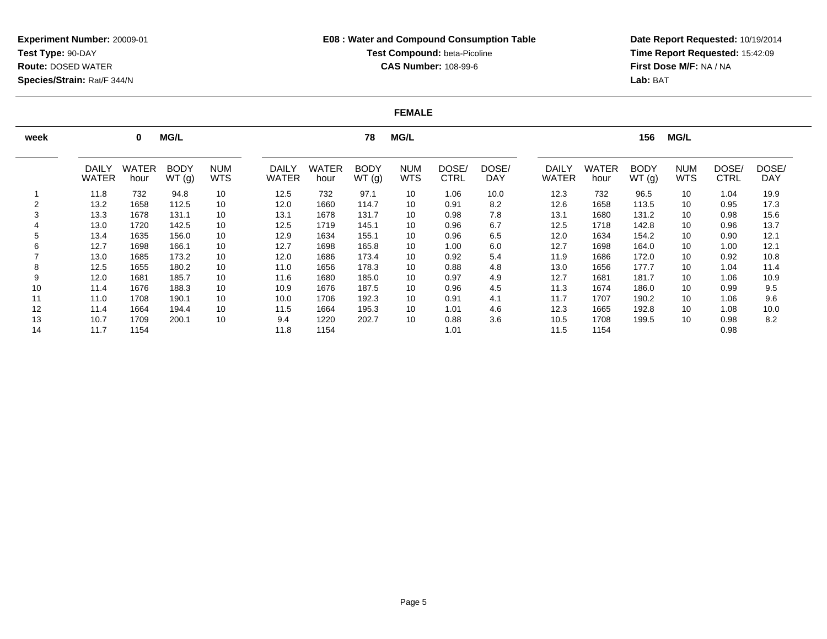**Date Report Requested:** 10/19/2014 **Time Report Requested:** 15:42:09**First Dose M/F:** NA / NA**Lab:** BAT

#### **FEMALE**

| week |                              | $\bf{0}$             | <b>MG/L</b>          |                          |                              | <b>MG/L</b><br>78    |                      |                          |                      |                     |                              | <b>MG/L</b><br>156 |                      |                          |                      |                     |  |
|------|------------------------------|----------------------|----------------------|--------------------------|------------------------------|----------------------|----------------------|--------------------------|----------------------|---------------------|------------------------------|--------------------|----------------------|--------------------------|----------------------|---------------------|--|
|      | <b>DAILY</b><br><b>WATER</b> | <b>WATER</b><br>hour | <b>BODY</b><br>WT(g) | <b>NUM</b><br><b>WTS</b> | <b>DAILY</b><br><b>WATER</b> | <b>WATER</b><br>hour | <b>BODY</b><br>WT(g) | <b>NUM</b><br><b>WTS</b> | DOSE/<br><b>CTRL</b> | DOSE/<br><b>DAY</b> | <b>DAILY</b><br><b>WATER</b> | WATER<br>hour      | <b>BODY</b><br>WT(g) | <b>NUM</b><br><b>WTS</b> | DOSE/<br><b>CTRL</b> | DOSE/<br><b>DAY</b> |  |
|      | 11.8                         | 732                  | 94.8                 | 10                       | 12.5                         | 732                  | 97.1                 | 10                       | 1.06                 | 10.0                | 12.3                         | 732                | 96.5                 | 10                       | 1.04                 | 19.9                |  |
|      | 13.2                         | 1658                 | 112.5                | 10                       | 12.0                         | 1660                 | 114.7                | 10                       | 0.91                 | 8.2                 | 12.6                         | 1658               | 113.5                | 10                       | 0.95                 | 17.3                |  |
|      | 13.3                         | 1678                 | 131.1                | 10                       | 13.1                         | 1678                 | 131.7                | 10                       | 0.98                 | 7.8                 | 13.1                         | 1680               | 131.2                | 10                       | 0.98                 | 15.6                |  |
|      | 13.0                         | 1720                 | 142.5                | 10                       | 12.5                         | 1719                 | 145.1                | 10                       | 0.96                 | 6.7                 | 12.5                         | 1718               | 142.8                | 10                       | 0.96                 | 13.7                |  |
|      | 13.4                         | 1635                 | 156.0                | 10                       | 12.9                         | 1634                 | 155.1                | 10                       | 0.96                 | 6.5                 | 12.0                         | 1634               | 154.2                | 10                       | 0.90                 | 12.1                |  |
|      | 12.7                         | 1698                 | 166.1                | 10                       | 12.7                         | 1698                 | 165.8                | 10                       | 1.00                 | 6.0                 | 12.7                         | 1698               | 164.0                | 10                       | 1.00                 | 12.1                |  |
|      | 13.0                         | 1685                 | 173.2                | 10                       | 12.0                         | 1686                 | 173.4                | 10                       | 0.92                 | 5.4                 | 11.9                         | 1686               | 172.0                | 10                       | 0.92                 | 10.8                |  |
|      | 12.5                         | 1655                 | 180.2                | 10                       | 11.0                         | 1656                 | 178.3                | 10                       | 0.88                 | 4.8                 | 13.0                         | 1656               | 177.7                | 10                       | 1.04                 | 11.4                |  |
| 9    | 12.0                         | 1681                 | 185.7                | 10                       | 11.6                         | 1680                 | 185.0                | 10                       | 0.97                 | 4.9                 | 12.7                         | 1681               | 181.7                | 10                       | 1.06                 | 10.9                |  |
| 10   | 11.4                         | 1676                 | 188.3                | 10                       | 10.9                         | 1676                 | 187.5                | 10                       | 0.96                 | 4.5                 | 11.3                         | 1674               | 186.0                | 10                       | 0.99                 | 9.5                 |  |
| 11   | 11.0                         | 1708                 | 190.1                | 10                       | 10.0                         | 1706                 | 192.3                | 10                       | 0.91                 | 4.1                 | 11.7                         | 1707               | 190.2                | 10                       | 1.06                 | 9.6                 |  |
| 12   | 11.4                         | 1664                 | 194.4                | 10                       | 11.5                         | 1664                 | 195.3                | 10                       | 1.01                 | 4.6                 | 12.3                         | 1665               | 192.8                | 10                       | 1.08                 | 10.0                |  |
| 13   | 10.7                         | 1709                 | 200.1                | 10                       | 9.4                          | 1220                 | 202.7                | 10                       | 0.88                 | 3.6                 | 10.5                         | 1708               | 199.5                | 10                       | 0.98                 | 8.2                 |  |
| 14   | 11.7                         | 1154                 |                      |                          | 11.8                         | 1154                 |                      |                          | 1.01                 |                     | 11.5                         | 1154               |                      |                          | 0.98                 |                     |  |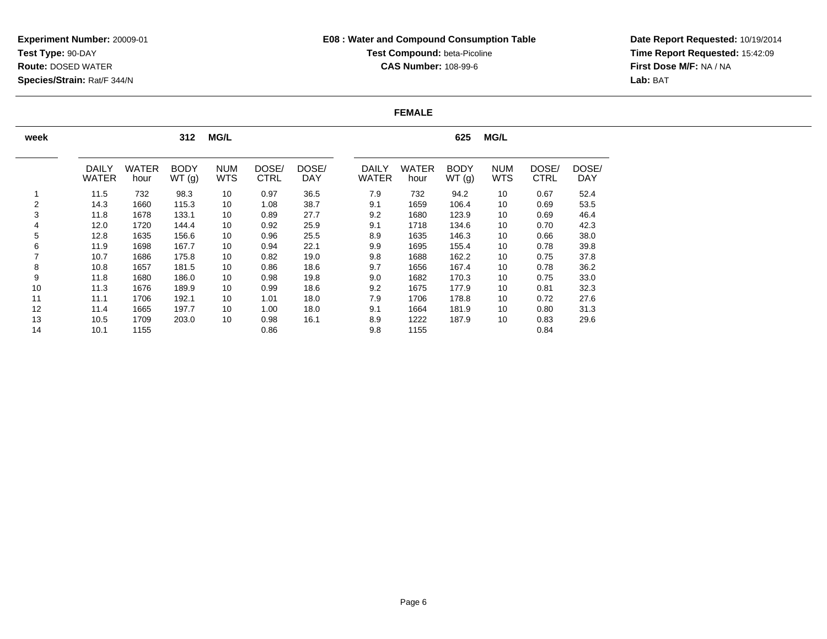# **E08 : Water and Compound Consumption TableTest Compound: beta-Picoline CAS Number:** 108-99-6

**Date Report Requested:** 10/19/2014 **Time Report Requested:** 15:42:09**First Dose M/F:** NA / NA**Lab:** BAT

### **FEMALE**

| week           |                              |                      | 312                  | <b>MG/L</b>              |                      |                     |                              |                      | 625                  | <b>MG/L</b>              |                      |                     |
|----------------|------------------------------|----------------------|----------------------|--------------------------|----------------------|---------------------|------------------------------|----------------------|----------------------|--------------------------|----------------------|---------------------|
|                |                              |                      |                      |                          |                      |                     |                              |                      |                      |                          |                      |                     |
|                | <b>DAILY</b><br><b>WATER</b> | <b>WATER</b><br>hour | <b>BODY</b><br>WT(g) | <b>NUM</b><br><b>WTS</b> | DOSE/<br><b>CTRL</b> | DOSE/<br><b>DAY</b> | <b>DAILY</b><br><b>WATER</b> | <b>WATER</b><br>hour | <b>BODY</b><br>WT(g) | <b>NUM</b><br><b>WTS</b> | DOSE/<br><b>CTRL</b> | DOSE/<br><b>DAY</b> |
|                | 11.5                         | 732                  | 98.3                 | 10                       | 0.97                 | 36.5                | 7.9                          | 732                  | 94.2                 | 10                       | 0.67                 | 52.4                |
| $\overline{2}$ | 14.3                         | 1660                 | 115.3                | 10                       | 1.08                 | 38.7                | 9.1                          | 1659                 | 106.4                | 10                       | 0.69                 | 53.5                |
| 3              | 11.8                         | 1678                 | 133.1                | 10                       | 0.89                 | 27.7                | 9.2                          | 1680                 | 123.9                | 10                       | 0.69                 | 46.4                |
| 4              | 12.0                         | 1720                 | 144.4                | 10                       | 0.92                 | 25.9                | 9.1                          | 1718                 | 134.6                | 10                       | 0.70                 | 42.3                |
| 5              | 12.8                         | 1635                 | 156.6                | 10                       | 0.96                 | 25.5                | 8.9                          | 1635                 | 146.3                | 10                       | 0.66                 | 38.0                |
| 6              | 11.9                         | 1698                 | 167.7                | 10                       | 0.94                 | 22.1                | 9.9                          | 1695                 | 155.4                | 10                       | 0.78                 | 39.8                |
|                | 10.7                         | 1686                 | 175.8                | 10                       | 0.82                 | 19.0                | 9.8                          | 1688                 | 162.2                | 10                       | 0.75                 | 37.8                |
| 8              | 10.8                         | 1657                 | 181.5                | 10                       | 0.86                 | 18.6                | 9.7                          | 1656                 | 167.4                | 10                       | 0.78                 | 36.2                |
| 9              | 11.8                         | 1680                 | 186.0                | 10                       | 0.98                 | 19.8                | 9.0                          | 1682                 | 170.3                | 10                       | 0.75                 | 33.0                |
| 10             | 11.3                         | 1676                 | 189.9                | 10                       | 0.99                 | 18.6                | 9.2                          | 1675                 | 177.9                | 10                       | 0.81                 | 32.3                |
| 11             | 11.1                         | 1706                 | 192.1                | 10                       | 1.01                 | 18.0                | 7.9                          | 1706                 | 178.8                | 10                       | 0.72                 | 27.6                |
| 12             | 11.4                         | 1665                 | 197.7                | 10                       | 1.00                 | 18.0                | 9.1                          | 1664                 | 181.9                | 10                       | 0.80                 | 31.3                |
| 13             | 10.5                         | 1709                 | 203.0                | 10                       | 0.98                 | 16.1                | 8.9                          | 1222                 | 187.9                | 10                       | 0.83                 | 29.6                |
| 14             | 10.1                         | 1155                 |                      |                          | 0.86                 |                     | 9.8                          | 1155                 |                      |                          | 0.84                 |                     |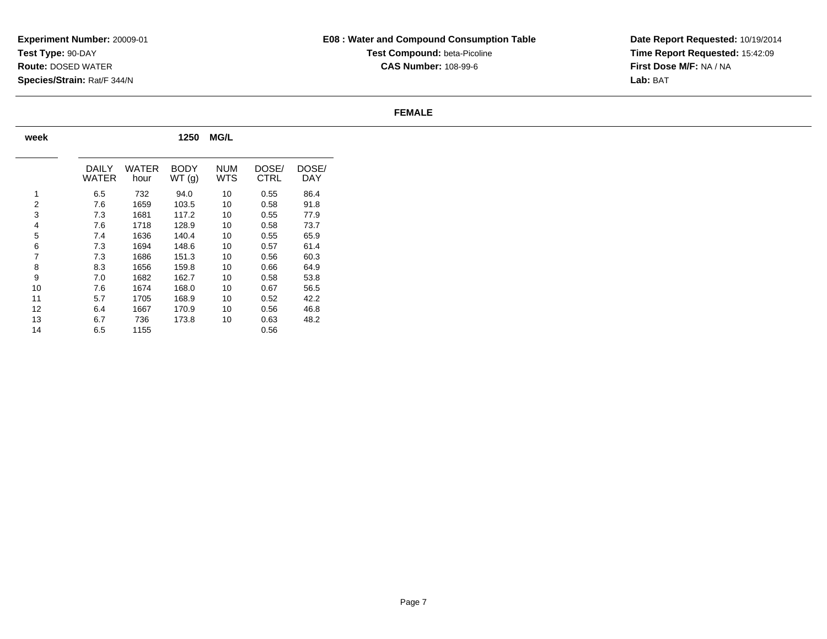**Date Report Requested:** 10/19/2014 **Time Report Requested:** 15:42:09**First Dose M/F:** NA / NA**Lab:** BAT

### **FEMALE**

| week |                |               | 1250                 | <b>MG/L</b>       |                      |              |
|------|----------------|---------------|----------------------|-------------------|----------------------|--------------|
|      | DAILY<br>WATER | WATER<br>hour | <b>BODY</b><br>WT(g) | <b>NUM</b><br>WTS | DOSE/<br><b>CTRL</b> | DOSE/<br>DAY |
| 1    | 6.5            | 732           | 94.0                 | 10                | 0.55                 | 86.4         |
| 2    | 7.6            | 1659          | 103.5                | 10                | 0.58                 | 91.8         |
| 3    | 7.3            | 1681          | 117.2                | 10                | 0.55                 | 77.9         |
| 4    | 7.6            | 1718          | 128.9                | 10                | 0.58                 | 73.7         |
| 5    | 7.4            | 1636          | 140.4                | 10                | 0.55                 | 65.9         |
| 6    | 7.3            | 1694          | 148.6                | 10                | 0.57                 | 61.4         |
| 7    | 7.3            | 1686          | 151.3                | 10                | 0.56                 | 60.3         |
| 8    | 8.3            | 1656          | 159.8                | 10                | 0.66                 | 64.9         |
| 9    | 7.0            | 1682          | 162.7                | 10                | 0.58                 | 53.8         |
| 10   | 7.6            | 1674          | 168.0                | 10                | 0.67                 | 56.5         |
| 11   | 5.7            | 1705          | 168.9                | 10                | 0.52                 | 42.2         |
| 12   | 6.4            | 1667          | 170.9                | 10                | 0.56                 | 46.8         |
| 13   | 6.7            | 736           | 173.8                | 10                | 0.63                 | 48.2         |
| 14   | 6.5            | 1155          |                      |                   | 0.56                 |              |